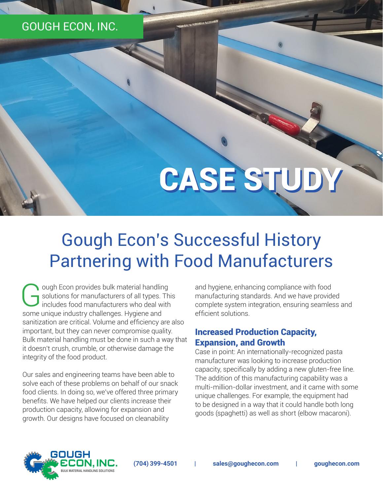# GOUGH ECON, INC.

# CASE STUDY

# Gough Econ's Successful History Partnering with Food Manufacturers

Gough Econ provides bulk material handling<br>solutions for manufacturers of all types. The<br>includes food manufacturers who deal with solutions for manufacturers of all types. This includes food manufacturers who deal with some unique industry challenges. Hygiene and sanitization are critical. Volume and efficiency are also important, but they can never compromise quality. Bulk material handling must be done in such a way that it doesn't crush, crumble, or otherwise damage the integrity of the food product.

Our sales and engineering teams have been able to solve each of these problems on behalf of our snack food clients. In doing so, we've offered three primary benefits. We have helped our clients increase their production capacity, allowing for expansion and growth. Our designs have focused on cleanability

and hygiene, enhancing compliance with food manufacturing standards. And we have provided complete system integration, ensuring seamless and efficient solutions.

#### Increased Production Capacity, Expansion, and Growth

Case in point: An internationally-recognized pasta manufacturer was looking to increase production capacity, specifically by adding a new gluten-free line. The addition of this manufacturing capability was a multi-million-dollar investment, and it came with some unique challenges. For example, the equipment had to be designed in a way that it could handle both long goods (spaghetti) as well as short (elbow macaroni).

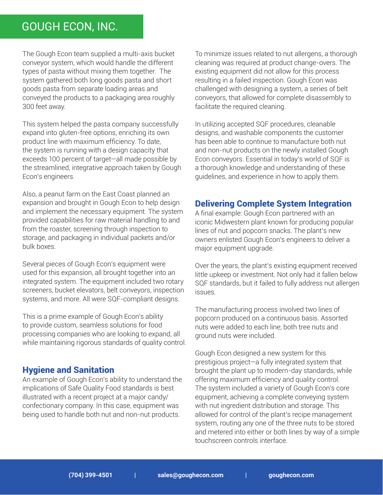## GOUGH ECON, INC.

The Gough Econ team supplied a multi-axis bucket conveyor system, which would handle the different types of pasta without mixing them together. The system gathered both long goods pasta and short goods pasta from separate loading areas and conveyed the products to a packaging area roughly 300 feet away.

This system helped the pasta company successfully expand into gluten-free options, enriching its own product line with maximum efficiency. To date, the system is running with a design capacity that exceeds 100 percent of target—all made possible by the streamlined, integrative approach taken by Gough Econ's engineers.

Also, a peanut farm on the East Coast planned an expansion and brought in Gough Econ to help design and implement the necessary equipment. The system provided capabilities for raw material handling to and from the roaster, screening through inspection to storage, and packaging in individual packets and/or bulk boxes.

Several pieces of Gough Econ's equipment were used for this expansion, all brought together into an integrated system. The equipment included two rotary screeners, bucket elevators, belt conveyors, inspection systems, and more. All were SQF-compliant designs.

This is a prime example of Gough Econ's ability to provide custom, seamless solutions for food processing companies who are looking to expand, all while maintaining rigorous standards of quality control.

#### Hygiene and Sanitation

An example of Gough Econ's ability to understand the implications of Safe Quality Food standards is best illustrated with a recent project at a major candy/ confectionary company. In this case, equipment was being used to handle both nut and non-nut products.

To minimize issues related to nut allergens, a thorough cleaning was required at product change-overs. The existing equipment did not allow for this process resulting in a failed inspection. Gough Econ was challenged with designing a system, a series of belt conveyors, that allowed for complete disassembly to facilitate the required cleaning.

In utilizing accepted SQF procedures, cleanable designs, and washable components the customer has been able to continue to manufacture both nut and non-nut products on the newly installed Gough Econ conveyors. Essential in today's world of SQF is a thorough knowledge and understanding of these guidelines, and experience in how to apply them.

#### Delivering Complete System Integration

A final example: Gough Econ partnered with an iconic Midwestern plant known for producing popular lines of nut and popcorn snacks. The plant's new owners enlisted Gough Econ's engineers to deliver a major equipment upgrade.

Over the years, the plant's existing equipment received little upkeep or investment. Not only had it fallen below SQF standards, but it failed to fully address nut allergen issues.

The manufacturing process involved two lines of popcorn produced on a continuous basis. Assorted nuts were added to each line; both tree nuts and ground nuts were included.

Gough Econ designed a new system for this prestigious project—a fully integrated system that brought the plant up to modern-day standards, while offering maximum efficiency and quality control. The system included a variety of Gough Econ's core equipment, achieving a complete conveying system with nut ingredient distribution and storage. This allowed for control of the plant's recipe management system, routing any one of the three nuts to be stored and metered into either or both lines by way of a simple touchscreen controls interface.